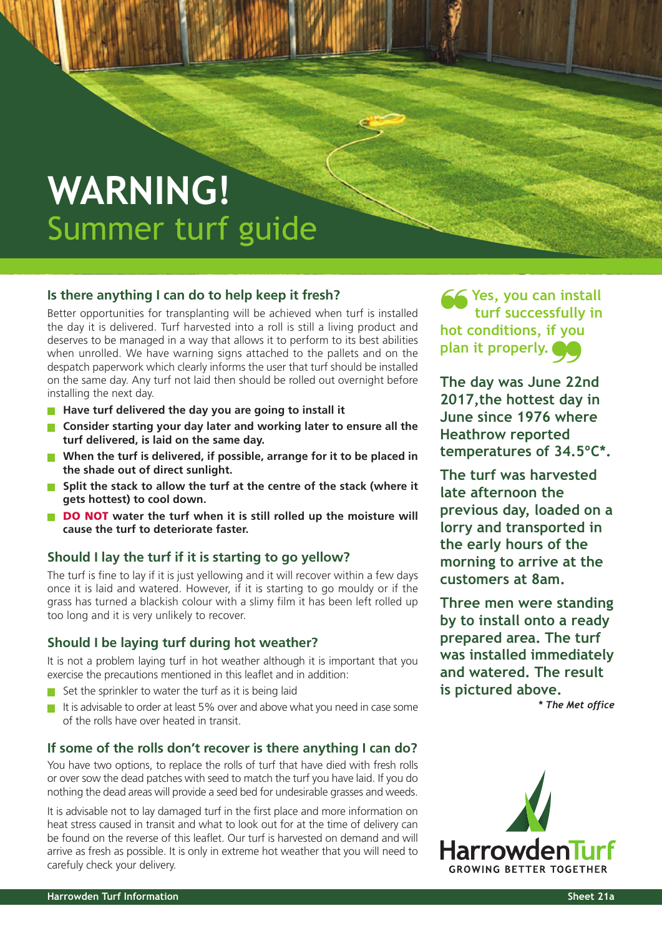# **WARNING!** Summer turf guide

## **Is there anything I can do to help keep it fresh?**

Better opportunities for transplanting will be achieved when turf is installed the day it is delivered. Turf harvested into a roll is still a living product and deserves to be managed in a way that allows it to perform to its best abilities when unrolled. We have warning signs attached to the pallets and on the despatch paperwork which clearly informs the user that turf should be installed on the same day. Any turf not laid then should be rolled out overnight before installing the next day.

- **Have turf delivered the day you are going to install it**
- **Consider starting your day later and working later to ensure all the turf delivered, is laid on the same day.**
- **When the turf is delivered, if possible, arrange for it to be placed in the shade out of direct sunlight.**
- **Split the stack to allow the turf at the centre of the stack (where it gets hottest) to cool down.**
- **DO NOT water the turf when it is still rolled up the moisture will cause the turf to deteriorate faster.**

## **Should I lay the turf if it is starting to go yellow?**

The turf is fine to lay if it is just yellowing and it will recover within a few days once it is laid and watered. However, if it is starting to go mouldy or if the grass has turned a blackish colour with a slimy film it has been left rolled up too long and it is very unlikely to recover.

#### **Should I be laying turf during hot weather?**

It is not a problem laying turf in hot weather although it is important that you exercise the precautions mentioned in this leaflet and in addition:

- $\blacksquare$  Set the sprinkler to water the turf as it is being laid
- It is advisable to order at least 5% over and above what you need in case some of the rolls have over heated in transit.

#### **If some of the rolls don't recover is there anything I can do?**

You have two options, to replace the rolls of turf that have died with fresh rolls or over sow the dead patches with seed to match the turf you have laid. If you do nothing the dead areas will provide a seed bed for undesirable grasses and weeds.

It is advisable not to lay damaged turf in the first place and more information on heat stress caused in transit and what to look out for at the time of delivery can be found on the reverse of this leaflet. Our turf is harvested on demand and will arrive as fresh as possible. It is only in extreme hot weather that you will need to carefuly check your delivery.

**Yes, you can install turf successfully in hot conditions, if you plan it properly. The day was June 22nd** ~

**2017,the hottest day in June since 1976 where Heathrow reported temperatures of 34.5ºC\*.**

**The turf was harvested late afternoon the previous day, loaded on a lorry and transported in the early hours of the morning to arrive at the customers at 8am.**

**Three men were standing by to install onto a ready prepared area. The turf was installed immediately and watered. The result is pictured above.**

*\* The Met office*